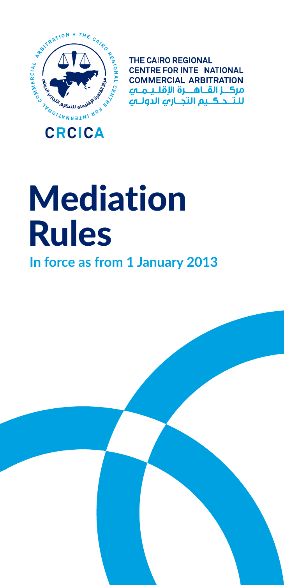

**THE CAIRO REGIONAL CENTRE FOR INTE NATIONAL COMMERCIAL ARBITRATION** مركــز القــاهـــرة الإقلــيـمــهـ للتنحكيم التحارف الدولية

# Mediation Rules

#### **In force as from 1 January 2013**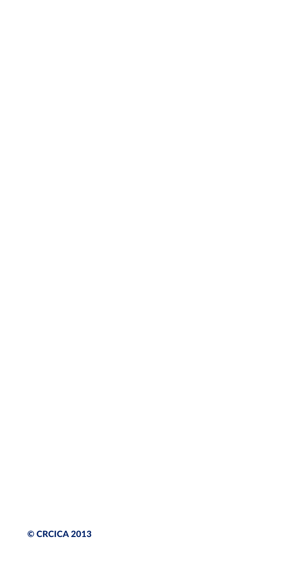#### © CRCICA 2013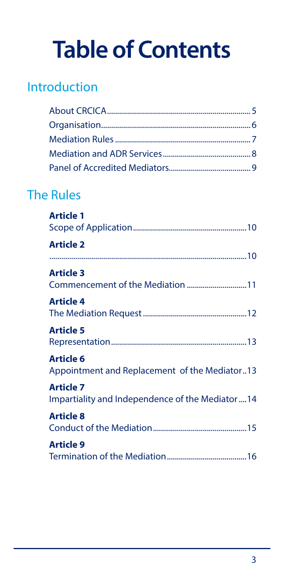## **Table of Contents**

#### [Introduction](#page-4-0)

#### [The Rules](#page-9-0)

| <b>Article 1</b>                                                      |
|-----------------------------------------------------------------------|
| <b>Article 2</b>                                                      |
| <b>Article 3</b>                                                      |
| <b>Article 4</b>                                                      |
| <b>Article 5</b>                                                      |
| <b>Article 6</b><br>Appointment and Replacement of the Mediator13     |
| <b>Article 7</b><br>Impartiality and Independence of the Mediator  14 |
| <b>Article 8</b>                                                      |
| <b>Article 9</b>                                                      |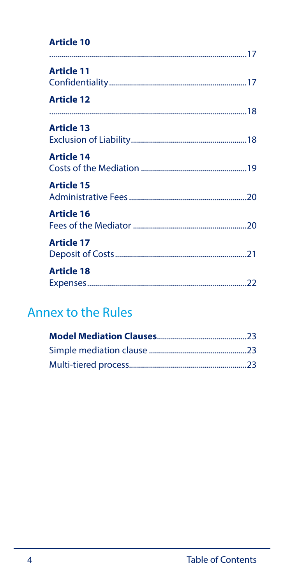#### **Article 10**

| <b>Article 11</b> |
|-------------------|
| <b>Article 12</b> |
| <b>Article 13</b> |
| <b>Article 14</b> |
| <b>Article 15</b> |
| <b>Article 16</b> |
| <b>Article 17</b> |
| <b>Article 18</b> |

#### Annex to the Rules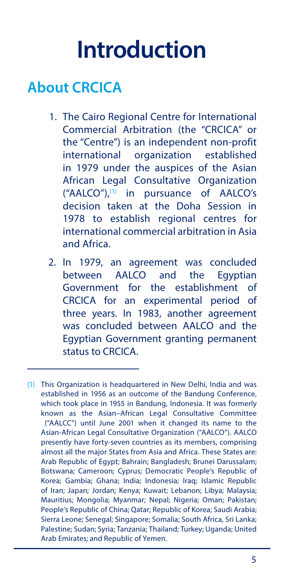## **Introduction**

### <span id="page-4-0"></span>**About CRCICA**

- 1. The Cairo Regional Centre for International Commercial Arbitration (the "CRCICA" or the "Centre") is an independent non-profit international organization established in 1979 under the auspices of the Asian African Legal Consultative Organization ("AALCO"),(1) in pursuance of AALCO's decision taken at the Doha Session in 1978 to establish regional centres for international commercial arbitration in Asia and Africa.
- 2. In 1979, an agreement was concluded between AALCO and the Egyptian Government for the establishment of CRCICA for an experimental period of three years. In 1983, another agreement was concluded between AALCO and the Egyptian Government granting permanent status to CRCICA.

<sup>(1)</sup> This Organization is headquartered in New Delhi, India and was established in 1956 as an outcome of the Bandung Conference, which took place in 1955 in Bandung, Indonesia. It was formerly known as the Asian–African Legal Consultative Committee ("AALCC") until June 2001 when it changed its name to the Asian-African Legal Consultative Organization ("AALCO"). AALCO presently have forty-seven countries as its members, comprising almost all the major States from Asia and Africa. These States are: Arab Republic of Egypt; Bahrain; Bangladesh; Brunei Darussalam; Botswana; Cameroon; Cyprus; Democratic People's Republic of Korea; Gambia; Ghana; India; Indonesia; Iraq; Islamic Republic of Iran; Japan; Jordan; Kenya; Kuwait; Lebanon; Libya; Malaysia; Mauritius; Mongolia; Myanmar; Nepal; Nigeria; Oman; Pakistan; People's Republic of China; Qatar; Republic of Korea; Saudi Arabia; Sierra Leone; Senegal; Singapore; Somalia; South Africa, Sri Lanka; Palestine; Sudan; Syria; Tanzania; Thailand; Turkey; Uganda; United Arab Emirates; and Republic of Yemen.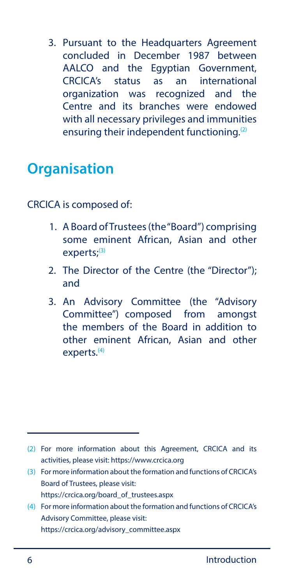<span id="page-5-0"></span>3. Pursuant to the Headquarters Agreement concluded in December 1987 between AALCO and the Egyptian Government, CRCICA's status as an international organization was recognized and the Centre and its branches were endowed with all necessary privileges and immunities ensuring their independent functioning.<sup>(2)</sup>

#### **Organisation**

CRCICA is composed of:

- 1. A Board of Trustees (the "Board") comprising some eminent African, Asian and other experts;<sup>(3)</sup>
- 2. The Director of the Centre (the "Director"); and
- 3. An Advisory Committee (the "Advisory Committee") composed from amongst the members of the Board in addition to other eminent African, Asian and other experts.<sup>(4)</sup>

- (3) For more information about the formation and functions of CRCICA's Board of Trustees, please visit: https://crcica.org/board\_of\_trustees.aspx
- (4) For more information about the formation and functions of CRCICA's Advisory Committee, please visit: https://crcica.org/advisory\_committee.aspx

<sup>(2)</sup> For more information about this Agreement, CRCICA and its activities, please visit: https://www.crcica.org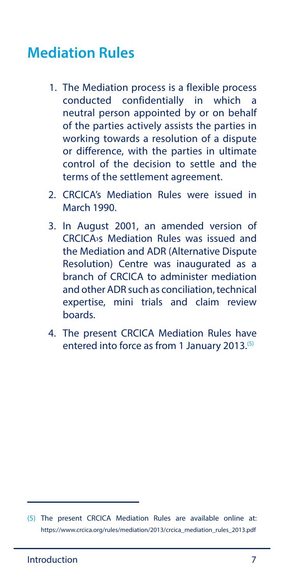#### <span id="page-6-0"></span>**Mediation Rules**

- 1. The Mediation process is a flexible process conducted confidentially in which a neutral person appointed by or on behalf of the parties actively assists the parties in working towards a resolution of a dispute or difference, with the parties in ultimate control of the decision to settle and the terms of the settlement agreement.
- 2. CRCICA's Mediation Rules were issued in March 1990.
- 3. In August 2001, an amended version of CRCICA›s Mediation Rules was issued and the Mediation and ADR (Alternative Dispute Resolution) Centre was inaugurated as a branch of CRCICA to administer mediation and other ADR such as conciliation, technical expertise, mini trials and claim review boards.
- 4. The present CRCICA Mediation Rules have entered into force as from 1 January 2013.(5)

<sup>(5)</sup> The present CRCICA Mediation Rules are available online at: https://www.crcica.org/rules/mediation/2013/crcica\_mediation\_rules\_2013.pdf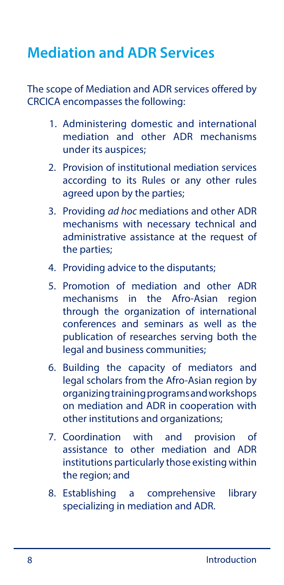### <span id="page-7-0"></span>**Mediation and ADR Services**

The scope of Mediation and ADR services offered by CRCICA encompasses the following:

- 1. Administering domestic and international mediation and other ADR mechanisms under its auspices;
- 2. Provision of institutional mediation services according to its Rules or any other rules agreed upon by the parties;
- 3. Providing *ad hoc* mediations and other ADR mechanisms with necessary technical and administrative assistance at the request of the parties;
- 4. Providing advice to the disputants;
- 5. Promotion of mediation and other ADR mechanisms in the Afro-Asian region through the organization of international conferences and seminars as well as the publication of researches serving both the legal and business communities;
- 6. Building the capacity of mediators and legal scholars from the Afro-Asian region by organizing training programs and workshops on mediation and ADR in cooperation with other institutions and organizations;
- 7. Coordination with and provision of assistance to other mediation and ADR institutions particularly those existing within the region; and
- 8. Establishing a comprehensive library specializing in mediation and ADR.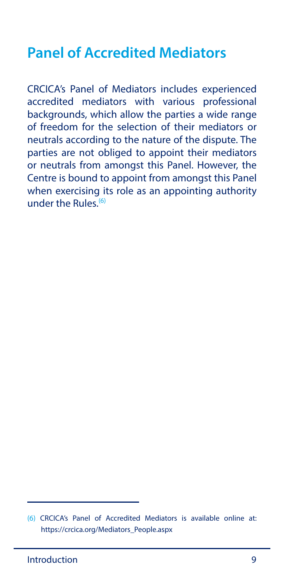#### <span id="page-8-0"></span>**Panel of Accredited Mediators**

CRCICA's Panel of Mediators includes experienced accredited mediators with various professional backgrounds, which allow the parties a wide range of freedom for the selection of their mediators or neutrals according to the nature of the dispute. The parties are not obliged to appoint their mediators or neutrals from amongst this Panel. However, the Centre is bound to appoint from amongst this Panel when exercising its role as an appointing authority under the Rules. $(6)$ 

<sup>(6)</sup> CRCICA's Panel of Accredited Mediators is available online at: https://crcica.org/Mediators\_People.aspx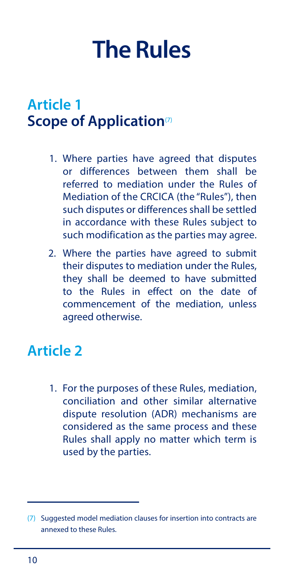## <span id="page-9-0"></span>**The Rules**

#### **Article 1 Scope of Application**<sup>(7)</sup>

- 1. Where parties have agreed that disputes or differences between them shall be referred to mediation under the Rules of Mediation of the CRCICA (the "Rules"), then such disputes or differences shall be settled in accordance with these Rules subject to such modification as the parties may agree.
- 2. Where the parties have agreed to submit their disputes to mediation under the Rules, they shall be deemed to have submitted to the Rules in effect on the date of commencement of the mediation, unless agreed otherwise.

#### **Article 2**

1. For the purposes of these Rules, mediation, conciliation and other similar alternative dispute resolution (ADR) mechanisms are considered as the same process and these Rules shall apply no matter which term is used by the parties.

<sup>(7)</sup> Suggested model mediation clauses for insertion into contracts are annexed to these Rules.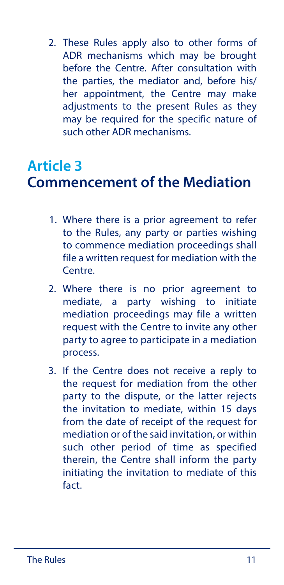<span id="page-10-0"></span>2. These Rules apply also to other forms of ADR mechanisms which may be brought before the Centre. After consultation with the parties, the mediator and, before his/ her appointment, the Centre may make adjustments to the present Rules as they may be required for the specific nature of such other ADR mechanisms.

#### **Article 3 Commencement of the Mediation**

- 1. Where there is a prior agreement to refer to the Rules, any party or parties wishing to commence mediation proceedings shall file a written request for mediation with the Centre.
- 2. Where there is no prior agreement to mediate, a party wishing to initiate mediation proceedings may file a written request with the Centre to invite any other party to agree to participate in a mediation process.
- 3. If the Centre does not receive a reply to the request for mediation from the other party to the dispute, or the latter rejects the invitation to mediate, within 15 days from the date of receipt of the request for mediation or of the said invitation, or within such other period of time as specified therein, the Centre shall inform the party initiating the invitation to mediate of this fact.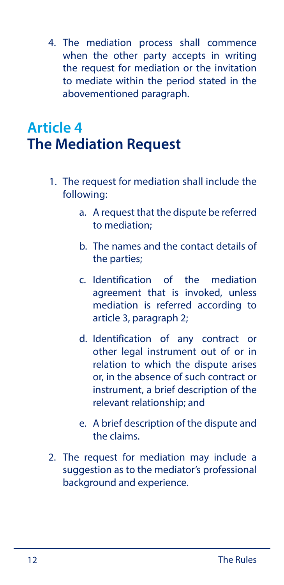<span id="page-11-0"></span>4. The mediation process shall commence when the other party accepts in writing the request for mediation or the invitation to mediate within the period stated in the abovementioned paragraph.

## **Article 4 The Mediation Request**

- 1. The request for mediation shall include the following:
	- a. A request that the dispute be referred to mediation;
	- b. The names and the contact details of the parties;
	- c. Identification of the mediation agreement that is invoked, unless mediation is referred according to article 3, paragraph 2;
	- d. Identification of any contract or other legal instrument out of or in relation to which the dispute arises or, in the absence of such contract or instrument, a brief description of the relevant relationship; and
	- e. A brief description of the dispute and the claims.
- 2. The request for mediation may include a suggestion as to the mediator's professional background and experience.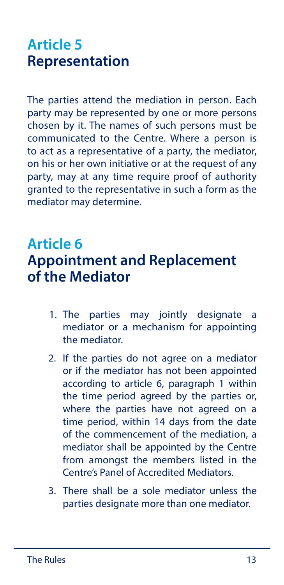### <span id="page-12-0"></span>**Article 5 Representation**

The parties attend the mediation in person. Each party may be represented by one or more persons chosen by it. The names of such persons must be communicated to the Centre. Where a person is to act as a representative of a party, the mediator, on his or her own initiative or at the request of any party, may at any time require proof of authority granted to the representative in such a form as the mediator may determine.

#### **Article 6**

#### **Appointment and Replacement of the Mediator**

- 1. The parties may jointly designate a mediator or a mechanism for appointing the mediator.
- 2. If the parties do not agree on a mediator or if the mediator has not been appointed according to article 6, paragraph 1 within the time period agreed by the parties or, where the parties have not agreed on a time period, within 14 days from the date of the commencement of the mediation, a mediator shall be appointed by the Centre from amongst the members listed in the Centre's Panel of Accredited Mediators.
- 3. There shall be a sole mediator unless the parties designate more than one mediator.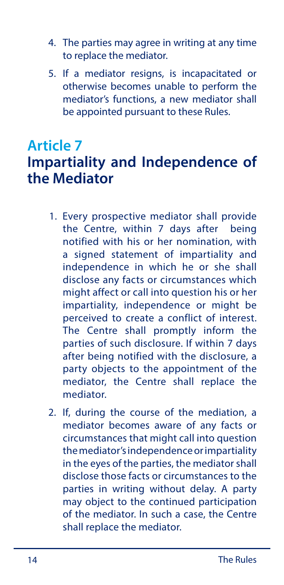- <span id="page-13-0"></span>4. The parties may agree in writing at any time to replace the mediator.
- 5. If a mediator resigns, is incapacitated or otherwise becomes unable to perform the mediator's functions, a new mediator shall be appointed pursuant to these Rules.

#### **Article 7 Impartiality and Independence of the Mediator**

- 1. Every prospective mediator shall provide the Centre, within 7 days after being notified with his or her nomination, with a signed statement of impartiality and independence in which he or she shall disclose any facts or circumstances which might affect or call into question his or her impartiality, independence or might be perceived to create a conflict of interest. The Centre shall promptly inform the parties of such disclosure. If within 7 days after being notified with the disclosure, a party objects to the appointment of the mediator, the Centre shall replace the mediator.
- 2. If, during the course of the mediation, a mediator becomes aware of any facts or circumstances that might call into question the mediator's independence or impartiality in the eyes of the parties, the mediator shall disclose those facts or circumstances to the parties in writing without delay. A party may object to the continued participation of the mediator. In such a case, the Centre shall replace the mediator.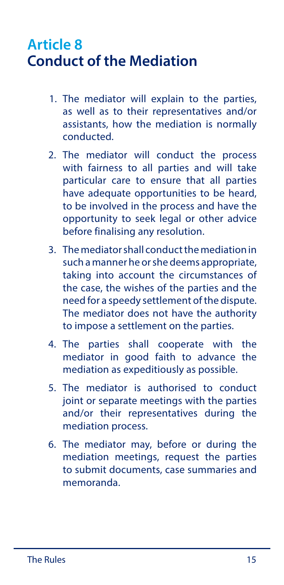#### <span id="page-14-0"></span>**Article 8 Conduct of the Mediation**

- 1. The mediator will explain to the parties, as well as to their representatives and/or assistants, how the mediation is normally conducted.
- 2. The mediator will conduct the process with fairness to all parties and will take particular care to ensure that all parties have adequate opportunities to be heard, to be involved in the process and have the opportunity to seek legal or other advice before finalising any resolution.
- 3. The mediator shall conduct the mediation in such a manner he or she deems appropriate, taking into account the circumstances of the case, the wishes of the parties and the need for a speedy settlement of the dispute. The mediator does not have the authority to impose a settlement on the parties.
- 4. The parties shall cooperate with the mediator in good faith to advance the mediation as expeditiously as possible.
- 5. The mediator is authorised to conduct joint or separate meetings with the parties and/or their representatives during the mediation process.
- 6. The mediator may, before or during the mediation meetings, request the parties to submit documents, case summaries and memoranda.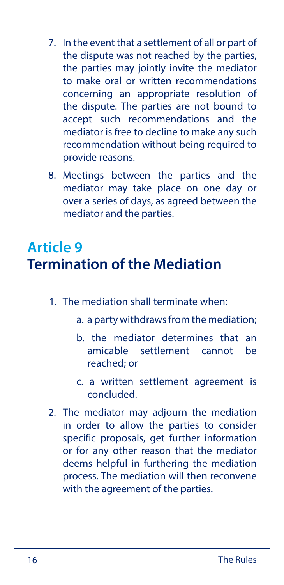- <span id="page-15-0"></span>7. In the event that a settlement of all or part of the dispute was not reached by the parties, the parties may jointly invite the mediator to make oral or written recommendations concerning an appropriate resolution of the dispute. The parties are not bound to accept such recommendations and the mediator is free to decline to make any such recommendation without being required to provide reasons.
- 8. Meetings between the parties and the mediator may take place on one day or over a series of days, as agreed between the mediator and the parties.

#### **Article 9 Termination of the Mediation**

- 1. The mediation shall terminate when:
	- a. a party withdraws from the mediation;
	- b. the mediator determines that an amicable settlement cannot be reached; or
	- c. a written settlement agreement is concluded.
- 2. The mediator may adjourn the mediation in order to allow the parties to consider specific proposals, get further information or for any other reason that the mediator deems helpful in furthering the mediation process. The mediation will then reconvene with the agreement of the parties.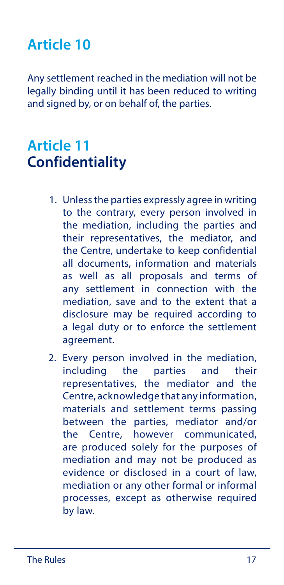### <span id="page-16-0"></span>**Article 10**

Any settlement reached in the mediation will not be legally binding until it has been reduced to writing and signed by, or on behalf of, the parties.

#### **Article 11 Confidentiality**

- 1. Unless the parties expressly agree in writing to the contrary, every person involved in the mediation, including the parties and their representatives, the mediator, and the Centre, undertake to keep confidential all documents, information and materials as well as all proposals and terms of any settlement in connection with the mediation, save and to the extent that a disclosure may be required according to a legal duty or to enforce the settlement agreement.
- 2. Every person involved in the mediation, including the parties and their representatives, the mediator and the Centre, acknowledge that any information, materials and settlement terms passing between the parties, mediator and/or the Centre, however communicated, are produced solely for the purposes of mediation and may not be produced as evidence or disclosed in a court of law, mediation or any other formal or informal processes, except as otherwise required by law.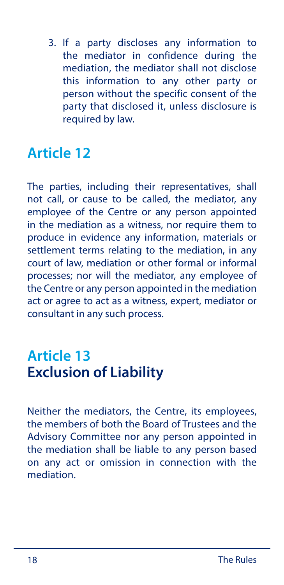<span id="page-17-0"></span>3. If a party discloses any information to the mediator in confidence during the mediation, the mediator shall not disclose this information to any other party or person without the specific consent of the party that disclosed it, unless disclosure is required by law.

#### **Article 12**

The parties, including their representatives, shall not call, or cause to be called, the mediator, any employee of the Centre or any person appointed in the mediation as a witness, nor require them to produce in evidence any information, materials or settlement terms relating to the mediation, in any court of law, mediation or other formal or informal processes; nor will the mediator, any employee of the Centre or any person appointed in the mediation act or agree to act as a witness, expert, mediator or consultant in any such process.

#### **Article 13 Exclusion of Liability**

Neither the mediators, the Centre, its employees, the members of both the Board of Trustees and the Advisory Committee nor any person appointed in the mediation shall be liable to any person based on any act or omission in connection with the mediation.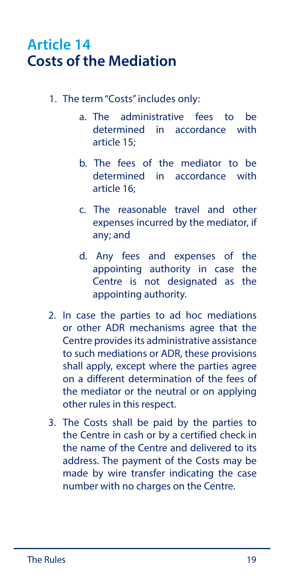#### <span id="page-18-0"></span>**Article 14 Costs of the Mediation**

- 1. The term "Costs" includes only:
	- a. The administrative fees to be determined in accordance with article 15;
	- b. The fees of the mediator to be determined in accordance with article 16;
	- c. The reasonable travel and other expenses incurred by the mediator, if any; and
	- d. Any fees and expenses of the appointing authority in case the Centre is not designated as the appointing authority.
- 2. In case the parties to ad hoc mediations or other ADR mechanisms agree that the Centre provides its administrative assistance to such mediations or ADR, these provisions shall apply, except where the parties agree on a different determination of the fees of the mediator or the neutral or on applying other rules in this respect.
- 3. The Costs shall be paid by the parties to the Centre in cash or by a certified check in the name of the Centre and delivered to its address. The payment of the Costs may be made by wire transfer indicating the case number with no charges on the Centre.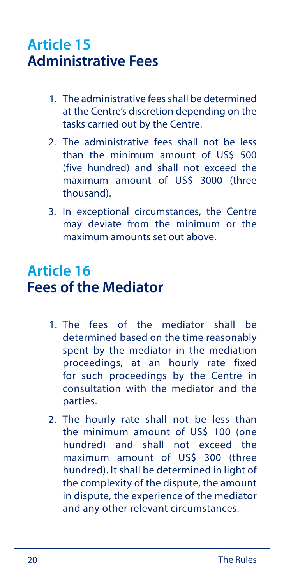#### <span id="page-19-0"></span>**Article 15 Administrative Fees**

- 1. The administrative fees shall be determined at the Centre's discretion depending on the tasks carried out by the Centre.
- 2. The administrative fees shall not be less than the minimum amount of US\$ 500 (five hundred) and shall not exceed the maximum amount of US\$ 3000 (three thousand).
- 3. In exceptional circumstances, the Centre may deviate from the minimum or the maximum amounts set out above.

#### **Article 16 Fees of the Mediator**

- 1. The fees of the mediator shall be determined based on the time reasonably spent by the mediator in the mediation proceedings, at an hourly rate fixed for such proceedings by the Centre in consultation with the mediator and the parties.
- 2. The hourly rate shall not be less than the minimum amount of US\$ 100 (one hundred) and shall not exceed the maximum amount of US\$ 300 (three hundred). It shall be determined in light of the complexity of the dispute, the amount in dispute, the experience of the mediator and any other relevant circumstances.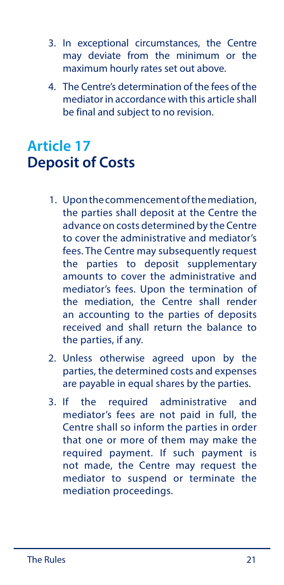- <span id="page-20-0"></span>3. In exceptional circumstances, the Centre may deviate from the minimum or the maximum hourly rates set out above.
- 4. The Centre's determination of the fees of the mediator in accordance with this article shall be final and subject to no revision.

### **Article 17 Deposit of Costs**

- 1. Upon the commencement of the mediation, the parties shall deposit at the Centre the advance on costs determined by the Centre to cover the administrative and mediator's fees. The Centre may subsequently request the parties to deposit supplementary amounts to cover the administrative and mediator's fees. Upon the termination of the mediation, the Centre shall render an accounting to the parties of deposits received and shall return the balance to the parties, if any.
- 2. Unless otherwise agreed upon by the parties, the determined costs and expenses are payable in equal shares by the parties.
- 3. If the required administrative and mediator's fees are not paid in full, the Centre shall so inform the parties in order that one or more of them may make the required payment. If such payment is not made, the Centre may request the mediator to suspend or terminate the mediation proceedings.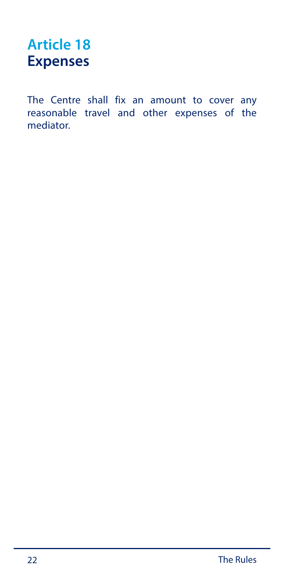### <span id="page-21-0"></span>**Article 18 Expenses**

The Centre shall fix an amount to cover any reasonable travel and other expenses of the mediator.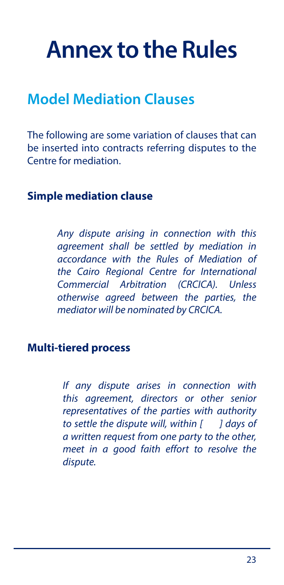## <span id="page-22-0"></span>**Annex to the Rules**

#### **Model Mediation Clauses**

The following are some variation of clauses that can be inserted into contracts referring disputes to the Centre for mediation.

#### **Simple mediation clause**

*Any dispute arising in connection with this agreement shall be settled by mediation in accordance with the Rules of Mediation of the Cairo Regional Centre for International Commercial Arbitration (CRCICA). Unless otherwise agreed between the parties, the mediator will be nominated by CRCICA.*

#### **Multi-tiered process**

*If any dispute arises in connection with this agreement, directors or other senior representatives of the parties with authority to settle the dispute will, within [ ] days of a written request from one party to the other, meet in a good faith effort to resolve the dispute.*